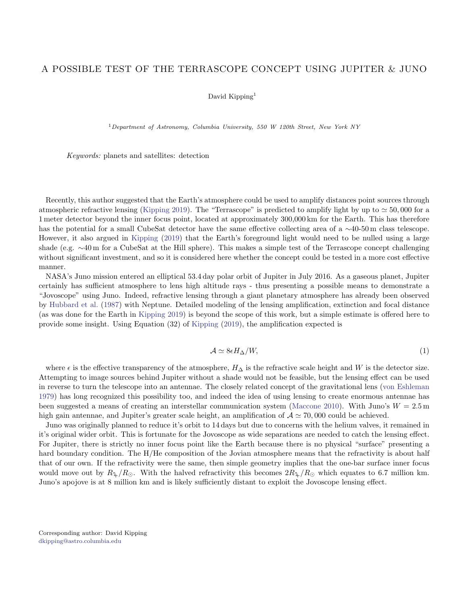## A POSSIBLE TEST OF THE TERRASCOPE CONCEPT USING JUPITER & JUNO

## David Kipping<sup>1</sup>

<sup>1</sup>Department of Astronomy, Columbia University, 550 W 120th Street, New York NY

Keywords: planets and satellites: detection

Recently, this author suggested that the Earth's atmosphere could be used to amplify distances point sources through atmospheric refractive lensing [\(Kipping](#page-1-0) [2019\)](#page-1-0). The "Terrascope" is predicted to amplify light by up to  $\simeq 50,000$  for a 1 meter detector beyond the inner focus point, located at approximately 300,000 km for the Earth. This has therefore has the potential for a small CubeSat detector have the same effective collecting area of a ∼40-50 m class telescope. However, it also argued in [Kipping](#page-1-0) [\(2019\)](#page-1-0) that the Earth's foreground light would need to be nulled using a large shade (e.g. ∼40 m for a CubeSat at the Hill sphere). This makes a simple test of the Terrascope concept challenging without significant investment, and so it is considered here whether the concept could be tested in a more cost effective manner.

NASA's Juno mission entered an elliptical 53.4 day polar orbit of Jupiter in July 2016. As a gaseous planet, Jupiter certainly has sufficient atmosphere to lens high altitude rays - thus presenting a possible means to demonstrate a "Jovoscope" using Juno. Indeed, refractive lensing through a giant planetary atmosphere has already been observed by [Hubbard et al.](#page-1-1) [\(1987\)](#page-1-1) with Neptune. Detailed modeling of the lensing amplification, extinction and focal distance (as was done for the Earth in [Kipping](#page-1-0) [2019\)](#page-1-0) is beyond the scope of this work, but a simple estimate is offered here to provide some insight. Using Equation (32) of [Kipping](#page-1-0) [\(2019\)](#page-1-0), the amplification expected is

$$
\mathcal{A} \simeq 8\epsilon H_{\Delta}/W,\tag{1}
$$

where  $\epsilon$  is the effective transparency of the atmosphere,  $H_{\Delta}$  is the refractive scale height and W is the detector size. Attempting to image sources behind Jupiter without a shade would not be feasible, but the lensing effect can be used in reverse to turn the telescope into an antennae. The closely related concept of the gravitational lens [\(von Eshleman](#page-1-2) [1979\)](#page-1-2) has long recognized this possibility too, and indeed the idea of using lensing to create enormous antennae has been suggested a means of creating an interstellar communication system [\(Maccone](#page-1-3) [2010\)](#page-1-3). With Juno's  $W = 2.5$  m high gain antennae, and Jupiter's greater scale height, an amplification of  $A \approx 70,000$  could be achieved.

Juno was originally planned to reduce it's orbit to 14 days but due to concerns with the helium valves, it remained in it's original wider orbit. This is fortunate for the Jovoscope as wide separations are needed to catch the lensing effect. For Jupiter, there is strictly no inner focus point like the Earth because there is no physical "surface" presenting a hard boundary condition. The H/He composition of the Jovian atmosphere means that the refractivity is about half that of our own. If the refractivity were the same, then simple geometry implies that the one-bar surface inner focus would move out by  $R_4/R_{\odot}$ . With the halved refractivity this becomes  $2R_4/R_{\odot}$  which equates to 6.7 million km. Juno's apojove is at 8 million km and is likely sufficiently distant to exploit the Jovoscope lensing effect.